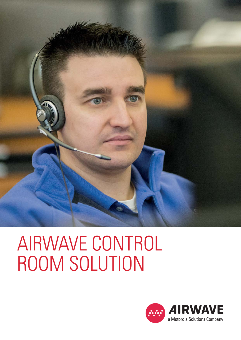

# AIRWAVE CONTROL ROOM SOLUTION

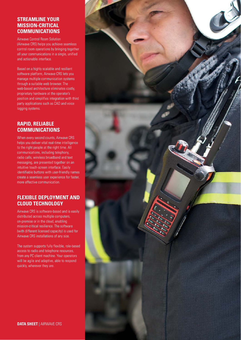## **STREAMLINE YOUR MISSION-CRITICAL COMMUNICATIONS**

Airwave Control Room Solution (Airwave CRS) helps you achieve seamless control room operations by bringing together all your communications in a single, unified and actionable interface.

Based on a highly scalable and resilient software platform, Airwave CRS lets you manage multiple communication systems through a suitable web browser. The web-based architecture eliminates costly, proprietary hardware at the operator's position and simplifies integration with third party applications such as CAD and voice logging systems.

## **RAPID, RELIABLE COMMUNICATIONS**

When every second counts, Airwave CRS helps you deliver vital real-time intelligence to the right people at the right time. All communications, including telephony, radio calls, wireless broadband and text messaging, are presented together on an intuitive touch-screen interface. Easily identifiable buttons with user-friendly names create a seamless user experience for faster, more effective communication.

## **FLEXIBLE DEPLOYMENT AND CLOUD TECHNOLOGY**

Airwave CRS is software-based and is easily distributed across multiple computers, on-premise or in the cloud, enabling mission-critical resilience. The software (with different licensed capacity) is used for Airwave CRS installations of any size.

The system supports fully flexible, role-based access to radio and telephone resources, from any PC client machine. Your operators will be agile and adaptive, able to respond quickly, wherever they are.

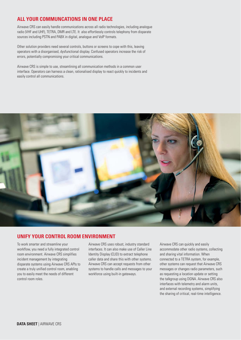# **ALL YOUR COMMUNCATIONS IN ONE PLACE**

Airwave CRS can easily handle communications across all radio technologies, including analogue radio (VHF and UHF), TETRA, DMR and LTE. It also effortlessly controls telephony from disparate sources including PSTN and PABX in digital, analogue and VoIP formats.

Other solution providers need several controls, buttons or screens to cope with this, leaving operators with a disorganised, dysfunctional display. Confused operators increase the risk of errors, potentially compromising your critical communications.

Airwave CRS is simple to use, streamlining all communication methods in a common user interface. Operators can harness a clean, rationalised display to react quickly to incidents and easily control all communications.



#### **UNIFY YOUR CONTROL ROOM ENVIRONMENT**

To work smarter and streamline your workflow, you need a fully integrated control room environment. Airwave CRS simplifies incident management by integrating disparate systems using Airwave CRS APIs to create a truly unified control room, enabling you to easily meet the needs of different control room roles.

Airwave CRS uses robust, industry standard interfaces. It can also make use of Caller Line Identity Display (CLID) to extract telephone caller data and share this with other systems. Airwave CRS can accept requests from other systems to handle calls and messages to your workforce using built-in gateways.

Airwave CRS can quickly and easily accommodate other radio systems, collecting and sharing vital information. When connected to a TETRA system, for example, other systems can request that Airwave CRS messages or changes radio parameters, such as requesting a location update or setting the talkgroup using DGNA. Airwave CRS also interfaces with telemetry and alarm units, and external recording systems, simplifying the sharing of critical, real-time intelligence.